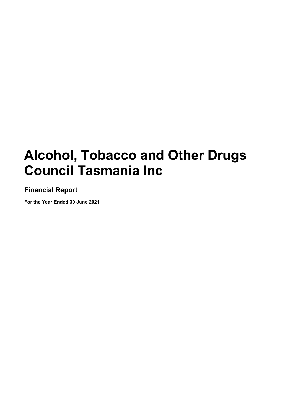**Financial Report**

**For the Year Ended 30 June 2021**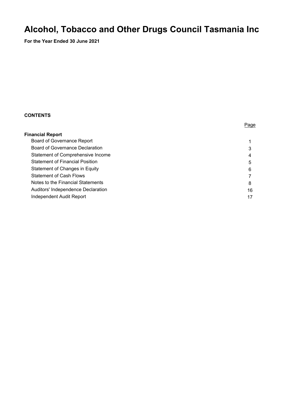**For the Year Ended 30 June 2021** 

#### **CONTENTS**

| <b>Financial Report</b>                |    |
|----------------------------------------|----|
| <b>Board of Governance Report</b>      |    |
| <b>Board of Governance Declaration</b> | 3  |
| Statement of Comprehensive Income      | 4  |
| <b>Statement of Financial Position</b> | 5  |
| Statement of Changes in Equity         | 6  |
| <b>Statement of Cash Flows</b>         |    |
| Notes to the Financial Statements      | 8  |
| Auditors' Independence Declaration     | 16 |
| Independent Audit Report               | 17 |
|                                        |    |

Page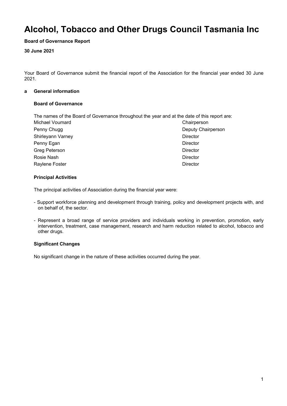#### **Board of Governance Report**

#### **30 June 2021**

Your Board of Governance submit the financial report of the Association for the financial year ended 30 June 2021.

#### **a General information**

#### **Board of Governance**

The names of the Board of Governance throughout the year and at the date of this report are:

| Michael Voumard      | Chairperson        |  |
|----------------------|--------------------|--|
| Penny Chugg          | Deputy Chairperson |  |
| Shirleyann Varney    | <b>Director</b>    |  |
| Penny Egan           | <b>Director</b>    |  |
| <b>Greg Peterson</b> | Director           |  |
| Rosie Nash           | <b>Director</b>    |  |
| Raylene Foster       | <b>Director</b>    |  |

#### **Principal Activities**

The principal activities of Association during the financial year were:

- Support workforce planning and development through training, policy and development projects with, and on behalf of, the sector.
- Represent a broad range of service providers and individuals working in prevention, promotion, early intervention, treatment, case management, research and harm reduction related to alcohol, tobacco and other drugs.

#### **Significant Changes**

No significant change in the nature of these activities occurred during the year.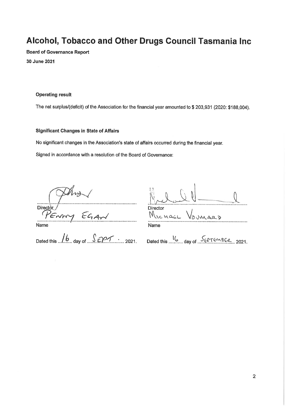**Board of Governance Report** 30 June 2021

#### **Operating result**

The net surplus/(deficit) of the Association for the financial year amounted to \$203,931 (2020: \$188,004).

#### **Significant Changes in State of Affairs**

No significant changes in the Association's state of affairs occurred during the financial year.

Signed in accordance with a resolution of the Board of Governance:

**Director** 

Enny EGAN Name

Dated this  $\sqrt{b}$  day of  $\sqrt{c}$  2021. Dated this  $\frac{1}{b}$  day of SEPTEMBER, 2021.

| Director<br>ICHAEL |         |
|--------------------|---------|
|                    | VOUMARD |
| Name               |         |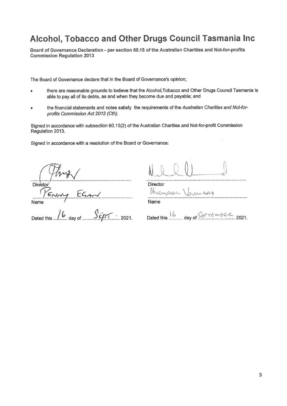Board of Governance Declaration - per section 60.15 of the Australian Charities and Not-for-profits **Commission Regulation 2013** 

The Board of Governance declare that in the Board of Governance's opinion;

- there are reasonable grounds to believe that the Alcohol, Tobacco and Other Drugs Council Tasmania is  $\bullet$ able to pay all of its debts, as and when they become due and payable; and
- the financial statements and notes satisfy the requirements of the Australian Charities and Not-for- $\overline{a}$ profits Commission Act 2012 (Cth).

Signed in accordance with subsection 60.15(2) of the Australian Charities and Not-for-profit Commission Regulation 2013.

Signed in accordance with a resolution of the Board or Governance:

Director  $EGard$ Name

Dated this  $\sqrt{6}$  day of .......  $S_{\ell}$ 

**Director** 

MICHAGLI Journals . . . . . . . . . . . . Name

 $\ldots$  day of  $Ser$   $Femge$   $2021$ . Dated this

. . . . . . . . . . . .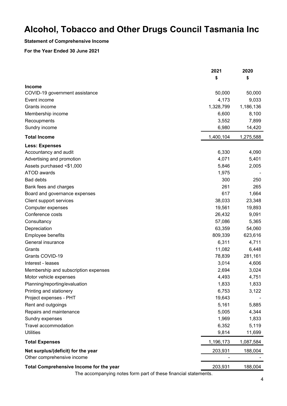#### **Statement of Comprehensive Income**

#### **For the Year Ended 30 June 2021**

|                                                                 | 2021<br>\$ | 2020<br>\$ |
|-----------------------------------------------------------------|------------|------------|
| <b>Income</b>                                                   |            |            |
| COVID-19 government assistance                                  | 50,000     | 50,000     |
| Event income                                                    | 4,173      | 9,033      |
| Grants income                                                   | 1,328,799  | 1,186,136  |
| Membership income                                               | 6,600      | 8,100      |
| Recoupments                                                     | 3,552      | 7,899      |
| Sundry income                                                   | 6,980      | 14,420     |
| <b>Total Income</b>                                             | 1,400,104  | 1,275,588  |
| <b>Less: Expenses</b>                                           |            |            |
| Accountancy and audit                                           | 6,330      | 4,090      |
| Advertising and promotion                                       | 4,071      | 5,401      |
| Assets purchased <\$1,000                                       | 5,846      | 2,005      |
| ATOD awards                                                     | 1,975      |            |
| <b>Bad debts</b>                                                | 300        | 250        |
| Bank fees and charges                                           | 261        | 265        |
| Board and governance expenses                                   | 617        | 1,664      |
| Client support services                                         | 38,033     | 23,348     |
| Computer expenses                                               | 19,561     | 19,893     |
| Conference costs                                                | 26,432     | 9,091      |
| Consultancy                                                     | 57,086     | 5,365      |
| Depreciation                                                    | 63,359     | 54,060     |
| Employee benefits                                               | 809,339    | 623,616    |
| General insurance                                               | 6,311      | 4,711      |
| Grants                                                          | 11,082     | 6,448      |
| Grants COVID-19                                                 | 78,839     | 281,161    |
| Interest - leases                                               | 3,014      | 4,606      |
| Membership and subscription expenses                            | 2,694      | 3,024      |
| Motor vehicle expenses                                          | 4,493      | 4,751      |
| Planning/reporting/evaluation                                   | 1,833      | 1,833      |
| Printing and stationery                                         | 6,753      | 3,122      |
| Project expenses - PHT                                          | 19,643     |            |
| Rent and outgoings                                              | 5,161      | 5,885      |
| Repairs and maintenance                                         | 5,005      | 4,344      |
| Sundry expenses                                                 | 1,969      | 1,833      |
| Travel accommodation                                            | 6,352      | 5,119      |
| <b>Utilities</b>                                                | 9,814      | 11,699     |
| <b>Total Expenses</b>                                           | 1,196,173  | 1,087,584  |
| Net surplus/(deficit) for the year                              | 203,931    | 188,004    |
| Other comprehensive income                                      |            |            |
| Total Comprehensive Income for the year                         | 203,931    | 188,004    |
| The accompanying notes form part of these financial statements. |            |            |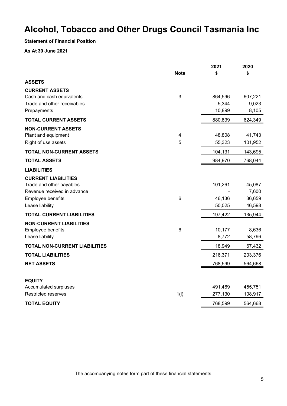**Statement of Financial Position**

**As At 30 June 2021**

|                                      |                 | 2021    | 2020    |
|--------------------------------------|-----------------|---------|---------|
|                                      | <b>Note</b>     | \$      | \$      |
| <b>ASSETS</b>                        |                 |         |         |
| <b>CURRENT ASSETS</b>                |                 |         |         |
| Cash and cash equivalents            | 3               | 864,596 | 607,221 |
| Trade and other receivables          |                 | 5,344   | 9,023   |
| Prepayments                          |                 | 10,899  | 8,105   |
| <b>TOTAL CURRENT ASSETS</b>          |                 | 880,839 | 624,349 |
| <b>NON-CURRENT ASSETS</b>            |                 |         |         |
| Plant and equipment                  | 4               | 48,808  | 41,743  |
| Right of use assets                  | 5               | 55,323  | 101,952 |
| <b>TOTAL NON-CURRENT ASSETS</b>      |                 | 104,131 | 143,695 |
| <b>TOTAL ASSETS</b>                  |                 | 984,970 | 768,044 |
| <b>LIABILITIES</b>                   |                 |         |         |
| <b>CURRENT LIABILITIES</b>           |                 |         |         |
| Trade and other payables             |                 | 101,261 | 45,087  |
| Revenue received in advance          |                 |         | 7,600   |
| Employee benefits                    | $6\phantom{1}6$ | 46,136  | 36,659  |
| Lease liability                      |                 | 50,025  | 46,598  |
| <b>TOTAL CURRENT LIABILITIES</b>     |                 | 197,422 | 135,944 |
| <b>NON-CURRENT LIABILITIES</b>       |                 |         |         |
| Employee benefits                    | $6\phantom{1}6$ | 10,177  | 8,636   |
| Lease liability                      |                 | 8,772   | 58,796  |
| <b>TOTAL NON-CURRENT LIABILITIES</b> |                 | 18,949  | 67,432  |
| <b>TOTAL LIABILITIES</b>             |                 | 216,371 | 203,376 |
| <b>NET ASSETS</b>                    |                 | 768,599 | 564,668 |
|                                      |                 |         |         |
| <b>EQUITY</b>                        |                 |         |         |
| Accumulated surpluses                |                 | 491,469 | 455,751 |
| <b>Restricted reserves</b>           | 1(1)            | 277,130 | 108,917 |
| <b>TOTAL EQUITY</b>                  |                 | 768,599 | 564,668 |

The accompanying notes form part of these financial statements.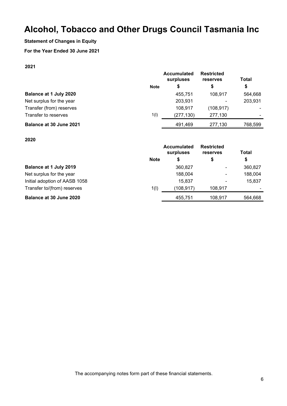#### **Statement of Changes in Equity**

#### **For the Year Ended 30 June 2021**

#### **2021**

|                          |             | <b>Accumulated</b><br>surpluses | <b>Restricted</b><br>reserves | Total   |
|--------------------------|-------------|---------------------------------|-------------------------------|---------|
|                          | <b>Note</b> | \$                              | \$                            | \$      |
| Balance at 1 July 2020   |             | 455.751                         | 108.917                       | 564,668 |
| Net surplus for the year |             | 203,931                         |                               | 203,931 |
| Transfer (from) reserves |             | 108,917                         | (108, 917)                    |         |
| Transfer to reserves     | 1(1)        | (277, 130)                      | 277,130                       |         |
| Balance at 30 June 2021  |             | 491,469                         | 277,130                       | 768,599 |
|                          |             |                                 |                               |         |

#### **2020**

|                               |             | <b>Accumulated</b><br>surpluses | <b>Restricted</b><br>reserves | <b>Total</b> |
|-------------------------------|-------------|---------------------------------|-------------------------------|--------------|
|                               | <b>Note</b> | \$                              | \$                            | \$           |
| Balance at 1 July 2019        |             | 360,827                         |                               | 360,827      |
| Net surplus for the year      |             | 188,004                         |                               | 188,004      |
| Initial adoption of AASB 1058 |             | 15,837                          |                               | 15,837       |
| Transfer to/(from) reserves   | 1(1)        | (108, 917)                      | 108.917                       |              |
| Balance at 30 June 2020       |             | 455,751                         | 108,917                       | 564,668      |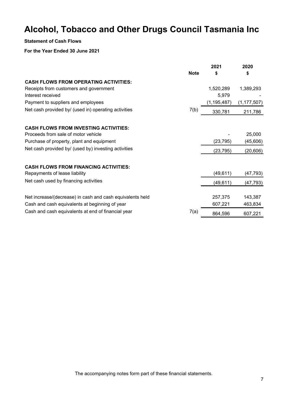#### **Statement of Cash Flows**

#### **For the Year Ended 30 June 2021**

|                                                           |             | 2021          | 2020          |
|-----------------------------------------------------------|-------------|---------------|---------------|
|                                                           | <b>Note</b> | \$            | \$            |
| <b>CASH FLOWS FROM OPERATING ACTIVITIES:</b>              |             |               |               |
| Receipts from customers and government                    |             | 1,520,289     | 1,389,293     |
| Interest received                                         |             | 5,979         |               |
| Payment to suppliers and employees                        |             | (1, 195, 487) | (1, 177, 507) |
| Net cash provided by/ (used in) operating activities      | 7(b)        | 330,781       | 211,786       |
| <b>CASH FLOWS FROM INVESTING ACTIVITIES:</b>              |             |               |               |
| Proceeds from sale of motor vehicle                       |             |               | 25,000        |
| Purchase of property, plant and equipment                 |             | (23, 795)     | (45, 606)     |
| Net cash provided by/ (used by) investing activities      |             | (23, 795)     | (20, 606)     |
| <b>CASH FLOWS FROM FINANCING ACTIVITIES:</b>              |             |               |               |
| Repayments of lease liability                             |             | (49, 611)     | (47, 793)     |
| Net cash used by financing activities                     |             | (49,611)      | (47, 793)     |
| Net increase/(decrease) in cash and cash equivalents held |             | 257,375       | 143,387       |
| Cash and cash equivalents at beginning of year            |             | 607,221       | 463,834       |
| Cash and cash equivalents at end of financial year        | 7(a)        | 864,596       | 607,221       |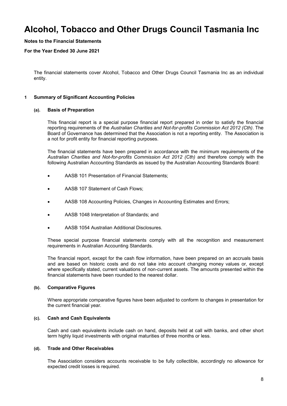#### **Notes to the Financial Statements**

#### **For the Year Ended 30 June 2021**

The financial statements cover Alcohol, Tobacco and Other Drugs Council Tasmania Inc as an individual entity.

#### **1 Summary of Significant Accounting Policies**

#### **(a). Basis of Preparation**

This financial report is a special purpose financial report prepared in order to satisfy the financial reporting requirements of the *Australian Charities and Not-for-profits Commission Act 2012 (Cth)*. The Board of Governance has determined that the Association is not a reporting entity. The Association is a not for profit entity for financial reporting purposes.

The financial statements have been prepared in accordance with the minimum requirements of the *Australian Charities and Not-for-profits Commission Act 2012 (Cth)* and therefore comply with the following Australian Accounting Standards as issued by the Australian Accounting Standards Board:

- AASB 101 Presentation of Financial Statements;
- AASB 107 Statement of Cash Flows;
- AASB 108 Accounting Policies, Changes in Accounting Estimates and Errors;
- AASB 1048 Interpretation of Standards; and
- AASB 1054 Australian Additional Disclosures.

These special purpose financial statements comply with all the recognition and measurement requirements in Australian Accounting Standards.

The financial report, except for the cash flow information, have been prepared on an accruals basis and are based on historic costs and do not take into account changing money values or, except where specifically stated, current valuations of non-current assets. The amounts presented within the financial statements have been rounded to the nearest dollar.

#### **(b). Comparative Figures**

Where appropriate comparative figures have been adjusted to conform to changes in presentation for the current financial year.

#### **(c). Cash and Cash Equivalents**

Cash and cash equivalents include cash on hand, deposits held at call with banks, and other short term highly liquid investments with original maturities of three months or less.

#### **(d). Trade and Other Receivables**

The Association considers accounts receivable to be fully collectible, accordingly no allowance for expected credit losses is required.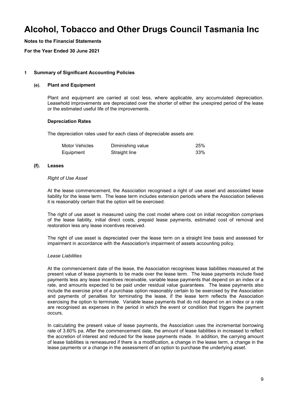**Notes to the Financial Statements**

**For the Year Ended 30 June 2021**

#### **1 Summary of Significant Accounting Policies**

#### **(e). Plant and Equipment**

Plant and equipment are carried at cost less, where applicable, any accumulated depreciation. Leasehold improvements are depreciated over the shorter of either the unexpired period of the lease or the estimated useful life of the improvements.

#### **Depreciation Rates**

The depreciation rates used for each class of depreciable assets are:

| Motor Vehicles | Diminishing value | 25% |
|----------------|-------------------|-----|
| Equipment      | Straight line     | 33% |

#### **(f). Leases**

#### *Right of Use Asset*

At the lease commencement, the Association recognised a right of use asset and associated lease liability for the lease term. The lease term includes extension periods where the Association believes it is reasonably certain that the option will be exercised.

The right of use asset is measured using the cost model where cost on initial recognition comprises of the lease liability, initial direct costs, prepaid lease payments, estimated cost of removal and restoration less any lease incentives received.

The right of use asset is depreciated over the lease term on a straight line basis and assessed for impairment in accordance with the Association's impairment of assets accounting policy.

#### *Lease Liabilities*

At the commencement date of the lease, the Association recognises lease liabilities measured at the present value of lease payments to be made over the lease term. The lease payments include fixed payments less any lease incentives receivable, variable lease payments that depend on an index or a rate, and amounts expected to be paid under residual value guarantees. The lease payments also include the exercise price of a purchase option reasonably certain to be exercised by the Association and payments of penalties for terminating the lease, if the lease term reflects the Association exercising the option to terminate. Variable lease payments that do not depend on an index or a rate are recognised as expenses in the period in which the event or condition that triggers the payment occurs.

In calculating the present value of lease payments, the Association uses the incremental borrowing rate of 3.60% pa. After the commencement date, the amount of lease liabilities in increased to reflect the accretion of interest and reduced for the lease payments made. In addition, the carrying amount of lease liabilities is remeasured if there is a modification, a change in the lease term, a change in the lease payments or a change in the assessment of an option to purchase the underlying asset.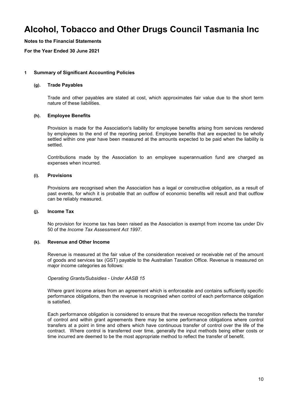**Notes to the Financial Statements**

**For the Year Ended 30 June 2021**

#### **1 Summary of Significant Accounting Policies**

#### **(g). Trade Payables**

Trade and other payables are stated at cost, which approximates fair value due to the short term nature of these liabilities.

#### **(h). Employee Benefits**

Provision is made for the Association's liability for employee benefits arising from services rendered by employees to the end of the reporting period. Employee benefits that are expected to be wholly settled within one year have been measured at the amounts expected to be paid when the liability is settled.

Contributions made by the Association to an employee superannuation fund are charged as expenses when incurred.

#### **(i). Provisions**

Provisions are recognised when the Association has a legal or constructive obligation, as a result of past events, for which it is probable that an outflow of economic benefits will result and that outflow can be reliably measured.

#### **(j). Income Tax**

No provision for income tax has been raised as the Association is exempt from income tax under Div 50 of the *Income Tax Assessment Act 1997*.

#### **(k). Revenue and Other Income**

Revenue is measured at the fair value of the consideration received or receivable net of the amount of goods and services tax (GST) payable to the Australian Taxation Office. Revenue is measured on major income categories as follows:

#### *Operating Grants/Subsidies - Under AASB 15*

Where grant income arises from an agreement which is enforceable and contains sufficiently specific performance obligations, then the revenue is recognised when control of each performance obligation is satisfied.

Each performance obligation is considered to ensure that the revenue recognition reflects the transfer of control and within grant agreements there may be some performance obligations where control transfers at a point in time and others which have continuous transfer of control over the life of the contract. Where control is transferred over time, generally the input methods being either costs or time incurred are deemed to be the most appropriate method to reflect the transfer of benefit.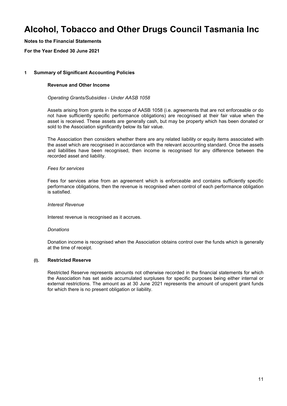**Notes to the Financial Statements**

**For the Year Ended 30 June 2021**

#### **1 Summary of Significant Accounting Policies**

#### **Revenue and Other Income**

#### *Operating Grants/Subsidies - Under AASB 1058*

Assets arising from grants in the scope of AASB 1058 (i.e. agreements that are not enforceable or do not have sufficiently specific performance obligations) are recognised at their fair value when the asset is received. These assets are generally cash, but may be property which has been donated or sold to the Association significantly below its fair value.

The Association then considers whether there are any related liability or equity items associated with the asset which are recognised in accordance with the relevant accounting standard. Once the assets and liabilities have been recognised, then income is recognised for any difference between the recorded asset and liability.

#### *Fees for services*

Fees for services arise from an agreement which is enforceable and contains sufficiently specific performance obligations, then the revenue is recognised when control of each performance obligation is satisfied.

#### *Interest Revenue*

Interest revenue is recognised as it accrues.

#### *Donations*

Donation income is recognised when the Association obtains control over the funds which is generally at the time of receipt.

#### **(l). Restricted Reserve**

Restricted Reserve represents amounts not otherwise recorded in the financial statements for which the Association has set aside accumulated surpluses for specific purposes being either internal or external restrictions. The amount as at 30 June 2021 represents the amount of unspent grant funds for which there is no present obligation or liability.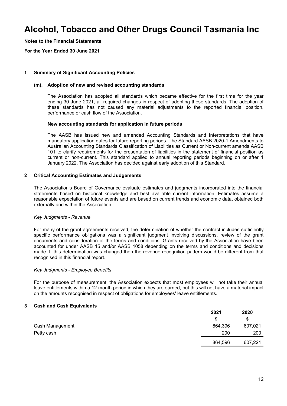**Notes to the Financial Statements**

**For the Year Ended 30 June 2021**

#### **1 Summary of Significant Accounting Policies**

#### **(m). Adoption of new and revised accounting standards**

The Association has adopted all standards which became effective for the first time for the year ending 30 June 2021, all required changes in respect of adopting these standards. The adoption of these standards has not caused any material adjustments to the reported financial position, performance or cash flow of the Association.

#### **New accounting standards for application in future periods**

The AASB has issued new and amended Accounting Standards and Interpretations that have mandatory application dates for future reporting periods. The Standard AASB 2020-1 Amendments to Australian Accounting Standards Classification of Liabilities as Current or Non-current amends AASB 101 to clarify requirements for the presentation of liabilities in the statement of financial position as current or non-current. This standard applied to annual reporting periods beginning on or after 1 January 2022. The Association has decided against early adoption of this Standard.

#### **2 Critical Accounting Estimates and Judgements**

The Association's Board of Governance evaluate estimates and judgments incorporated into the financial statements based on historical knowledge and best available current information. Estimates assume a reasonable expectation of future events and are based on current trends and economic data, obtained both externally and within the Association.

#### *Key Judgments - Revenue*

For many of the grant agreements received, the determination of whether the contract includes sufficiently specific performance obligations was a significant judgment involving discussions, review of the grant documents and consideration of the terms and conditions. Grants received by the Association have been accounted for under AASB 15 and/or AASB 1058 depending on the terms and conditions and decisions made. If this determination was changed then the revenue recognition pattern would be different from that recognised in this financial report.

#### *Key Judgments - Employee Benefits*

For the purpose of measurement, the Association expects that most employees will not take their annual leave entitlements within a 12 month period in which they are earned, but this will not have a material impact on the amounts recognised in respect of obligations for employees' leave entitlements.

#### **3 Cash and Cash Equivalents**

|                 | 2021    | 2020    |
|-----------------|---------|---------|
|                 |         | S       |
| Cash Management | 864,396 | 607,021 |
| Petty cash      | 200     | 200     |
|                 | 864,596 | 607,221 |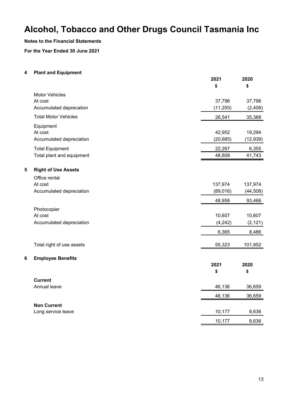#### **Notes to the Financial Statements**

**For the Year Ended 30 June 2021**

#### **4 Plant and Equipment**

|                                 | 2021<br>\$ | 2020<br>\$ |
|---------------------------------|------------|------------|
| <b>Motor Vehicles</b>           |            |            |
| At cost                         | 37,796     | 37,796     |
| Accumulated deprecation         | (11, 255)  | (2, 408)   |
| <b>Total Motor Vehicles</b>     | 26,541     | 35,388     |
| Equipment                       |            |            |
| At cost                         | 42,952     | 19,294     |
| Accumulated depreciation        | (20, 685)  | (12, 939)  |
| <b>Total Equipment</b>          | 22,267     | 6,355      |
| Total plant and equipment       | 48,808     | 41,743     |
| 5<br><b>Right of Use Assets</b> |            |            |
| Office rental                   |            |            |
| At cost                         | 137,974    | 137,974    |
| Accumulated depreciation        | (89,016)   | (44, 508)  |
|                                 | 48,958     | 93,466     |
| Photocopier                     |            |            |
| At cost                         | 10,607     | 10,607     |
| Accumulated depreciation        | (4, 242)   | (2, 121)   |
|                                 | 6,365      | 8,486      |
| Total right of use assets       | 55,323     | 101,952    |
| <b>Employee Benefits</b><br>6   |            |            |
|                                 | 2021       | 2020       |
|                                 | \$         | \$         |
| <b>Current</b>                  |            |            |
| Annual leave                    | 46,136     | 36,659     |
|                                 | 46,136     | 36,659     |
| <b>Non Current</b>              |            |            |
| Long service leave              | 10,177     | 8,636      |
|                                 | 10,177     | 8,636      |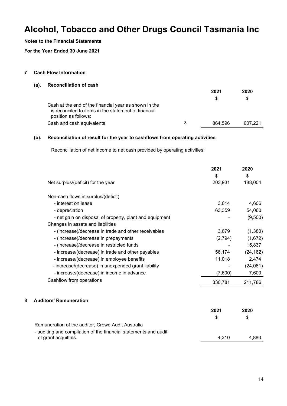#### **Notes to the Financial Statements**

**For the Year Ended 30 June 2021**

#### **7 Cash Flow Information**

#### **(a). Reconciliation of cash**

|                                                                                                                                       |   | 2021    | 2020    |
|---------------------------------------------------------------------------------------------------------------------------------------|---|---------|---------|
|                                                                                                                                       |   |         | S       |
| Cash at the end of the financial year as shown in the<br>is reconciled to items in the statement of financial<br>position as follows: |   |         |         |
| Cash and cash equivalents                                                                                                             | 3 | 864.596 | 607.221 |

#### **(b). Reconciliation of result for the year to cashflows from operating activities**

Reconciliation of net income to net cash provided by operating activities:

|   |                                                         | 2021<br>\$ | 2020<br>\$ |
|---|---------------------------------------------------------|------------|------------|
|   | Net surplus/(deficit) for the year                      | 203,931    | 188,004    |
|   | Non-cash flows in surplus/(deficit)                     |            |            |
|   | - interest on lease                                     | 3,014      | 4,606      |
|   | - depreciation                                          | 63,359     | 54,060     |
|   | - net gain on disposal of property, plant and equipment |            | (9,500)    |
|   | Changes in assets and liabilities                       |            |            |
|   | - (increase)/decrease in trade and other receivables    | 3,679      | (1,380)    |
|   | - (increase)/decrease in prepayments                    | (2,794)    | (1,672)    |
|   | - (increase)/decrease in restricted funds               |            | 15,837     |
|   | - increase/(decrease) in trade and other payables       | 56,174     | (24, 162)  |
|   | - increase/(decrease) in employee benefits              | 11,018     | 2,474      |
|   | - increase/(decrease) in unexpended grant liability     |            | (24,081)   |
|   | - increase/(decrease) in income in advance              | (7,600)    | 7,600      |
|   | Cashflow from operations                                | 330,781    | 211,786    |
| 8 | <b>Auditors' Remuneration</b>                           |            |            |
|   |                                                         | 2021       | 2020       |
|   |                                                         | \$         | \$         |
|   | Remuneration of the auditor, Crowe Audit Australia      |            |            |

#### - auditing and compilation of the financial statements and audit of grant acquittals. 4,310 4,880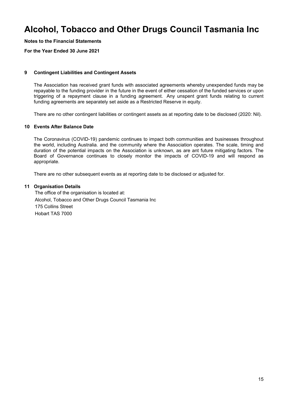**Notes to the Financial Statements**

**For the Year Ended 30 June 2021**

#### **9 Contingent Liabilities and Contingent Assets**

The Association has received grant funds with associated agreements whereby unexpended funds may be repayable to the funding provider in the future in the event of either cessation of the funded services or upon triggering of a repayment clause in a funding agreement. Any unspent grant funds relating to current funding agreements are separately set aside as a Restricted Reserve in equity.

There are no other contingent liabilities or contingent assets as at reporting date to be disclosed (2020: Nil).

#### **10 Events After Balance Date**

The Coronavirus (COVID-19) pandemic continues to impact both communities and businesses throughout the world, including Australia. and the community where the Association operates. The scale, timing and duration of the potential impacts on the Association is unknown, as are ant future mitigating factors. The Board of Governance continues to closely monitor the impacts of COVID-19 and will respond as appropriate.

There are no other subsequent events as at reporting date to be disclosed or adjusted for.

#### **11 Organisation Details**

The office of the organisation is located at: Alcohol, Tobacco and Other Drugs Council Tasmania Inc 175 Collins Street Hobart TAS 7000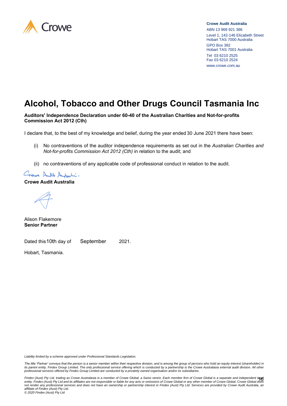

#### **Crowe Audit Australia** ABN 13 969 921 386 Level 1, 142-146 Elizabeth Street Hobart TAS 7000 Australia GPO Box 392 Hobart TAS 7001 Australia Tel 03 6210 2525 Fax 03 6210 2524 www.crowe.com.au

# **Alcohol, Tobacco and Other Drugs Council Tasmania Inc**

#### **Auditors' Independence Declaration under 60-40 of the Australian Charities and Not-for-profits Commission Act 2012 (Cth)**

I declare that, to the best of my knowledge and belief, during the year ended 30 June 2021 there have been:

- (i) No contraventions of the auditor independence requirements as set out in the *Australian Charities and Not-for-profits Commission Act 2012 (Cth)* in relation to the audit; and
- (ii) no contraventions of any applicable code of professional conduct in relation to the audit.

Grave Auto Autuli:

#### **Crowe Audit Australia**

Alison Flakemore **Senior Partner**

Dated this 10th day of September 2021. September

Hobart, Tasmania.

*Liability limited by a scheme approved under Professional Standards Legislation.*

The title 'Partner' conveys that the person is a senior member within their respective division, and is among the group of persons who hold an equity interest (shareholder) in its parent entity, Findex Group Limited. The only professional service offering which is conducted by a partnership is the Crowe Australasia external audit division. All other<br>professional services offered by Findex Group

16 *Findex (Aust) Pty Ltd, trading as Crowe Australasia is a member of Crowe Global, a Swiss verein. Each member firm of Crowe Global is a separate and independent legal entity. Findex (Aust) Pty Ltd and its affiliates are not responsible or liable for any acts or omissions of Crowe Global or any other member of Crowe Global. Crowe Global does not render any professional services and does not have an ownership or partnership interest in Findex (Aust) Pty Ltd. Services are provided by Crowe Audit Australia, an affiliate of Findex (Aust) Pty Ltd. © 2020 Findex (Aust) Pty Ltd*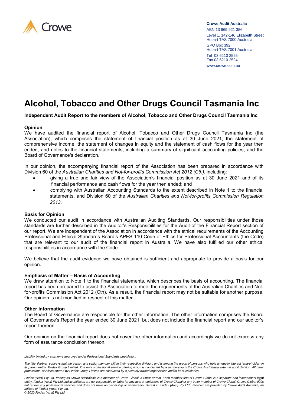

**Crowe Audit Australia** ABN 13 969 921 386 Level 1, 142-146 Elizabeth Street Hobart TAS 7000 Australia

GPO Box 392 Hobart TAS 7001 Australia Tel 03 6210 2525 Fax 03 6210 2524 www.crowe.com.au

# **Alcohol, Tobacco and Other Drugs Council Tasmania Inc**

**Independent Audit Report to the members of Alcohol, Tobacco and Other Drugs Council Tasmania Inc**

#### **Opinion**

We have audited the financial report of Alcohol, Tobacco and Other Drugs Council Tasmania Inc (the Association), which comprises the statement of financial position as at 30 June 2021, the statement of comprehensive income, the statement of changes in equity and the statement of cash flows for the year then ended, and notes to the financial statements, including a summary of significant accounting policies, and the Board of Governance's declaration.

In our opinion, the accompanying financial report of the Association has been prepared in accordance with Division 60 of the *Australian Charities and Not-for-profits Commission Act 2012 (Cth)*, including:

- giving a true and fair view of the Association's financial position as at 30 June 2021 and of its financial performance and cash flows for the year then ended; and
- complying with Australian Accounting Standards to the extent described in Note 1 to the financial statements, and Division 60 of the *Australian Charities and Not-for-profits Commission Regulation 2013*.

#### **Basis for Opinion**

We conducted our audit in accordance with Australian Auditing Standards. Our responsibilities under those standards are further described in the Auditor's Responsibilities for the Audit of the Financial Report section of our report. We are independent of the Association in accordance with the ethical requirements of the Accounting Professional and Ethical Standards Board's APES 110 Code of Ethics for Professional Accountants (the Code) that are relevant to our audit of the financial report in Australia. We have also fulfilled our other ethical responsibilities in accordance with the Code.

We believe that the audit evidence we have obtained is sufficient and appropriate to provide a basis for our opinion.

#### **Emphasis of Matter – Basis of Accounting**

We draw attention to Note 1 to the financial statements, which describes the basis of accounting. The financial report has been prepared to assist the Association to meet the requirements of the Australian Charities and Notfor-profits Commission Act 2012 (Cth). As a result, the financial report may not be suitable for another purpose. Our opinion is not modified in respect of this matter.

#### **Other Information**

The Board of Governance are responsible for the other information. The other information comprises the Board of Governance's Report the year ended 30 June 2021, but does not include the financial report and our auditor's report thereon.

Our opinion on the financial report does not cover the other information and accordingly we do not express any form of assurance conclusion thereon.

*Liability limited by a scheme approved under Professional Standards Legislation.*

The title 'Partner' conveys that the person is a senior member within their respective division, and is among the group of persons who hold an equity interest (shareholder) in *its parent entity, Findex Group Limited. The only professional service offering which is conducted by a partnership is the Crowe Australasia external audit division. All other professional services offered by Findex Group Limited are conducted by a privately owned organisation and/or its subsidiaries.* 

<sup>17</sup> *Findex (Aust) Pty Ltd, trading as Crowe Australasia is a member of Crowe Global, a Swiss verein. Each member firm of Crowe Global is a separate and independent legal entity. Findex (Aust) Pty Ltd and its affiliates are not responsible or liable for any acts or omissions of Crowe Global or any other member of Crowe Global. Crowe Global does not render any professional services and does not have an ownership or partnership interest in Findex (Aust) Pty Ltd. Services are provided by Crowe Audit Australia, an affiliate of Findex (Aust) Pty Ltd.*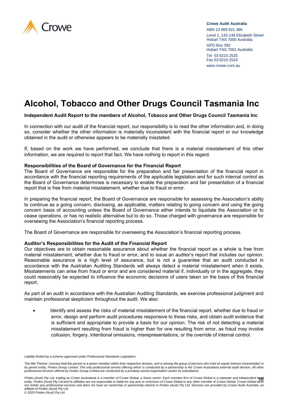

**Crowe Audit Australia** ABN 13 969 921 386 Level 1, 142-146 Elizabeth Street Hobart TAS 7000 Australia

GPO Box 392 Hobart TAS 7001 Australia Tel 03 6210 2525 Fax 03 6210 2524 www.crowe.com.au

# **Alcohol, Tobacco and Other Drugs Council Tasmania Inc**

#### **Independent Audit Report to the members of Alcohol, Tobacco and Other Drugs Council Tasmania Inc**

In connection with our audit of the financial report, our responsibility is to read the other information and, in doing so, consider whether the other information is materially inconsistent with the financial report or our knowledge obtained in the audit or otherwise appears to be materially misstated.

If, based on the work we have performed, we conclude that there is a material misstatement of this other information, we are required to report that fact. We have nothing to report in this regard.

#### **Responsibilities of the Board of Governance for the Financial Report**

The Board of Governance are responsible for the preparation and fair presentation of the financial report in accordance with the financial reporting requirements of the applicable legislation and for such internal control as the Board of Governance determines is necessary to enable the preparation and fair presentation of a financial report that is free from material misstatement, whether due to fraud or error.

In preparing the financial report, the Board of Governance are responsible for assessing the Association's ability to continue as a going concern, disclosing, as applicable, matters relating to going concern and using the going concern basis of accounting unless the Board of Governance either intends to liquidate the Association or to cease operations, or has no realistic alternative but to do so. Those charged with governance are responsible for overseeing the Association's financial reporting process.

The Board of Governance are responsible for overseeing the Association's financial reporting process.

#### **Auditor's Responsibilities for the Audit of the Financial Report**

Our objectives are to obtain reasonable assurance about whether the financial report as a whole is free from material misstatement, whether due to fraud or error, and to issue an auditor's report that includes our opinion. Reasonable assurance is a high level of assurance, but is not a guarantee that an audit conducted in accordance with the Australian Auditing Standards will always detect a material misstatement when it exists. Misstatements can arise from fraud or error and are considered material if, individually or in the aggregate, they could reasonably be expected to influence the economic decisions of users taken on the basis of this financial report.

As part of an audit in accordance with the Australian Auditing Standards, we exercise professional judgment and maintain professional skepticism throughout the audit. We also:

• Identify and assess the risks of material misstatement of the financial report, whether due to fraud or error, design and perform audit procedures responsive to those risks, and obtain audit evidence that is sufficient and appropriate to provide a basis for our opinion. The risk of not detecting a material misstatement resulting from fraud is higher than for one resulting from error, as fraud may involve collusion, forgery, intentional omissions, misrepresentations, or the override of internal control.

*Liability limited by a scheme approved under Professional Standards Legislation.*

The title 'Partner' conveys that the person is a senior member within their respective division, and is among the group of persons who hold an equity interest (shareholder) in its parent entity, Findex Group Limited. The only professional service offering which is conducted by a partnership is the Crowe Australasia external audit division. All other<br>professional services offered by Findex Group

<sup>18</sup> *Findex (Aust) Pty Ltd, trading as Crowe Australasia is a member of Crowe Global, a Swiss verein. Each member firm of Crowe Global is a separate and independent legal entity. Findex (Aust) Pty Ltd and its affiliates are not responsible or liable for any acts or omissions of Crowe Global or any other member of Crowe Global. Crowe Global does not render any professional services and does not have an ownership or partnership interest in Findex (Aust) Pty Ltd. Services are provided by Crowe Audit Australia, an affiliate of Findex (Aust) Pty Ltd.*